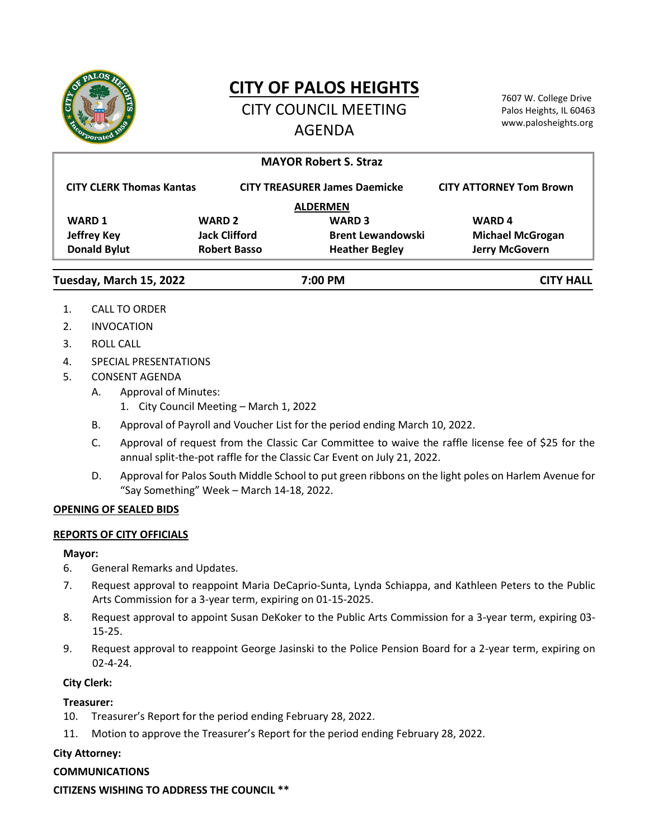

# **CITY OF PALOS HEIGHTS**

CITY COUNCIL MEETING AGENDA

7607 W. College Drive Palos Heights, IL 60463 www.palosheights.org

| <b>MAYOR Robert S. Straz</b>    |                      |                                      |                                |
|---------------------------------|----------------------|--------------------------------------|--------------------------------|
| <b>CITY CLERK Thomas Kantas</b> |                      | <b>CITY TREASURER James Daemicke</b> | <b>CITY ATTORNEY Tom Brown</b> |
| <b>ALDERMEN</b>                 |                      |                                      |                                |
| <b>WARD 1</b>                   | <b>WARD 2</b>        | <b>WARD 3</b>                        | <b>WARD4</b>                   |
| <b>Jeffrey Key</b>              | <b>Jack Clifford</b> | <b>Brent Lewandowski</b>             | <b>Michael McGrogan</b>        |
| <b>Donald Bylut</b>             | <b>Robert Basso</b>  | <b>Heather Begley</b>                | <b>Jerry McGovern</b>          |
| Tuesday, March 15, 2022         | 7:00 PM              |                                      | <b>CITY HALL</b>               |

- 1. CALL TO ORDER
- 2. INVOCATION
- 3. ROLL CALL
- 4. SPECIAL PRESENTATIONS
- 5. CONSENT AGENDA
	- A. Approval of Minutes:
		- 1. City Council Meeting March 1, 2022
	- B. Approval of Payroll and Voucher List for the period ending March 10, 2022.
	- C. Approval of request from the Classic Car Committee to waive the raffle license fee of \$25 for the annual split-the-pot raffle for the Classic Car Event on July 21, 2022.
	- D. Approval for Palos South Middle School to put green ribbons on the light poles on Harlem Avenue for "Say Something" Week – March 14-18, 2022.

## **OPENING OF SEALED BIDS**

## **REPORTS OF CITY OFFICIALS**

#### **Mayor:**

- 6. General Remarks and Updates.
- 7. Request approval to reappoint Maria DeCaprio-Sunta, Lynda Schiappa, and Kathleen Peters to the Public Arts Commission for a 3-year term, expiring on 01-15-2025.
- 8. Request approval to appoint Susan DeKoker to the Public Arts Commission for a 3-year term, expiring 03- 15-25.
- 9. Request approval to reappoint George Jasinski to the Police Pension Board for a 2-year term, expiring on 02-4-24.

## **City Clerk:**

## **Treasurer:**

- 10. Treasurer's Report for the period ending February 28, 2022.
- 11. Motion to approve the Treasurer's Report for the period ending February 28, 2022.

## **City Attorney:**

## **COMMUNICATIONS**

**CITIZENS WISHING TO ADDRESS THE COUNCIL \*\***